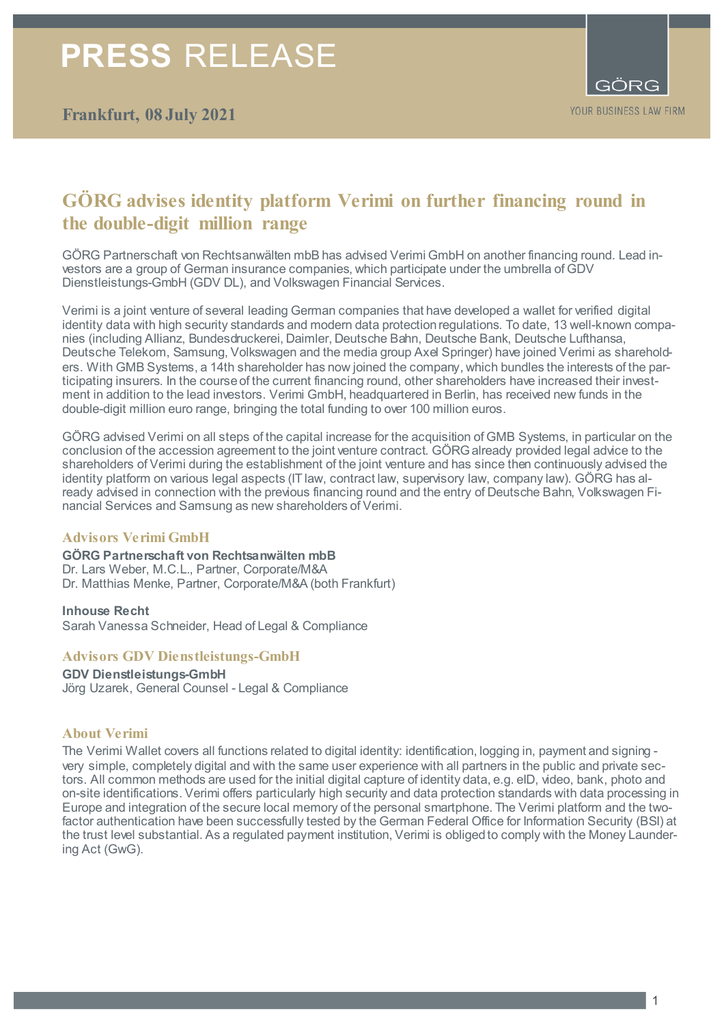## **PRESS** RELEASE



## **GÖRG advises identity platform Verimi on further financing round in the double-digit million range**

GÖRG Partnerschaft von Rechtsanwälten mbB has advised Verimi GmbH on another financing round. Lead investors are a group of German insurance companies, which participate under the umbrella of GDV Dienstleistungs-GmbH (GDV DL), and Volkswagen Financial Services.

Verimi is a joint venture of several leading German companies that have developed a wallet for verified digital identity data with high security standards and modern data protection regulations. To date, 13 well-known companies (including Allianz, Bundesdruckerei, Daimler, Deutsche Bahn, Deutsche Bank, Deutsche Lufthansa, Deutsche Telekom, Samsung, Volkswagen and the media group Axel Springer) have joined Verimi as shareholders. With GMB Systems, a 14th shareholder has now joined the company, which bundles the interests of the participating insurers. In the course of the current financing round, other shareholders have increased their investment in addition to the lead investors. Verimi GmbH, headquartered in Berlin, has received new funds in the double-digit million euro range, bringing the total funding to over 100 million euros.

GÖRG advised Verimi on all steps of the capital increase for the acquisition of GMB Systems, in particular on the conclusion of the accession agreement to the joint venture contract. GÖRG already provided legal advice to the shareholders of Verimi during the establishment of the joint venture and has since then continuously advised the identity platform on various legal aspects (IT law, contract law, supervisory law, company law). GÖRG has already advised in connection with the previous financing round and the entry of Deutsche Bahn, Volkswagen Financial Services and Samsung as new shareholders of Verimi.

#### **Advisors Verimi GmbH**

**GÖRG Partnerschaft von Rechtsanwälten mbB** Dr. Lars Weber, M.C.L., Partner, Corporate/M&A Dr. Matthias Menke, Partner, Corporate/M&A (both Frankfurt)

**Inhouse Recht** Sarah Vanessa Schneider, Head of Legal & Compliance

#### **Advisors GDV Dienstleistungs-GmbH**

**GDV Dienstleistungs-GmbH**  Jörg Uzarek, General Counsel - Legal & Compliance

#### **About Verimi**

The Verimi Wallet covers all functions related to digital identity: identification, logging in, payment and signing very simple, completely digital and with the same user experience with all partners in the public and private sectors. All common methods are used for the initial digital capture of identity data, e.g. eID, video, bank, photo and on-site identifications. Verimi offers particularly high security and data protection standards with data processing in Europe and integration of the secure local memory of the personal smartphone. The Verimi platform and the twofactor authentication have been successfully tested by the German Federal Office for Information Security (BSI) at the trust level substantial. As a regulated payment institution, Verimi is obliged to comply with the Money Laundering Act (GwG).